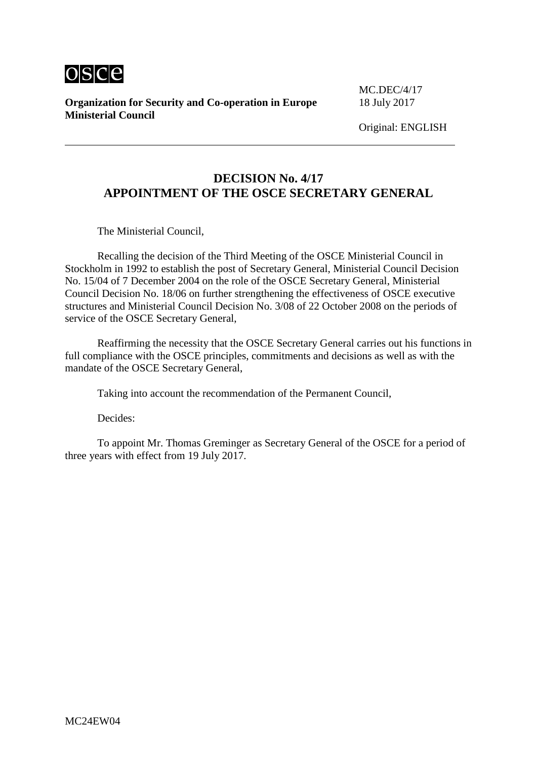

**Organization for Security and Co-operation in Europe** 18 July 2017 **Ministerial Council**

MC.DEC/4/17

Original: ENGLISH

# **DECISION No. 4/17 APPOINTMENT OF THE OSCE SECRETARY GENERAL**

The Ministerial Council,

Recalling the decision of the Third Meeting of the OSCE Ministerial Council in Stockholm in 1992 to establish the post of Secretary General, Ministerial Council Decision No. 15/04 of 7 December 2004 on the role of the OSCE Secretary General, Ministerial Council Decision No. 18/06 on further strengthening the effectiveness of OSCE executive structures and Ministerial Council Decision No. 3/08 of 22 October 2008 on the periods of service of the OSCE Secretary General,

Reaffirming the necessity that the OSCE Secretary General carries out his functions in full compliance with the OSCE principles, commitments and decisions as well as with the mandate of the OSCE Secretary General,

Taking into account the recommendation of the Permanent Council,

Decides:

To appoint Mr. Thomas Greminger as Secretary General of the OSCE for a period of three years with effect from 19 July 2017.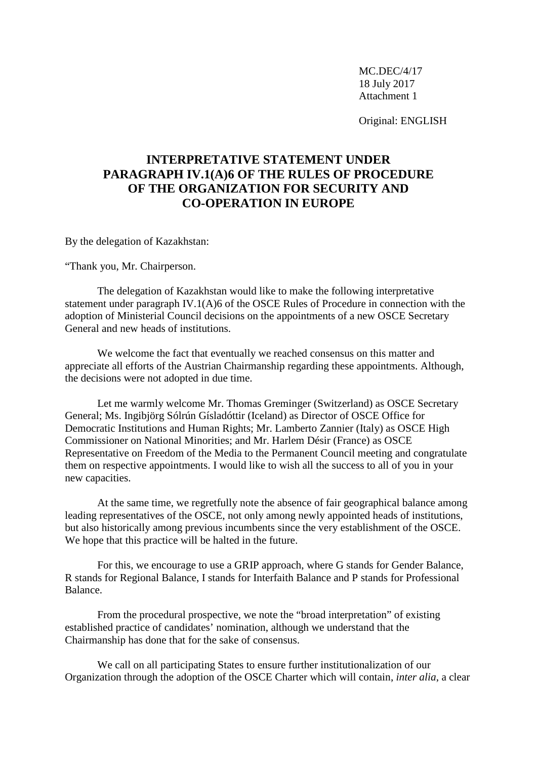Original: ENGLISH

# **INTERPRETATIVE STATEMENT UNDER PARAGRAPH IV.1(A)6 OF THE RULES OF PROCEDURE OF THE ORGANIZATION FOR SECURITY AND CO-OPERATION IN EUROPE**

By the delegation of Kazakhstan:

"Thank you, Mr. Chairperson.

The delegation of Kazakhstan would like to make the following interpretative statement under paragraph IV.1(A)6 of the OSCE Rules of Procedure in connection with the adoption of Ministerial Council decisions on the appointments of a new OSCE Secretary General and new heads of institutions.

We welcome the fact that eventually we reached consensus on this matter and appreciate all efforts of the Austrian Chairmanship regarding these appointments. Although, the decisions were not adopted in due time.

Let me warmly welcome Mr. Thomas Greminger (Switzerland) as OSCE Secretary General; Ms. Ingibjörg Sólrún Gísladóttir (Iceland) as Director of OSCE Office for Democratic Institutions and Human Rights; Mr. Lamberto Zannier (Italy) as OSCE High Commissioner on National Minorities; and Mr. Harlem Désir (France) as OSCE Representative on Freedom of the Media to the Permanent Council meeting and congratulate them on respective appointments. I would like to wish all the success to all of you in your new capacities.

At the same time, we regretfully note the absence of fair geographical balance among leading representatives of the OSCE, not only among newly appointed heads of institutions, but also historically among previous incumbents since the very establishment of the OSCE. We hope that this practice will be halted in the future.

For this, we encourage to use a GRIP approach, where G stands for Gender Balance, R stands for Regional Balance, I stands for Interfaith Balance and P stands for Professional Balance.

From the procedural prospective, we note the "broad interpretation" of existing established practice of candidates' nomination, although we understand that the Chairmanship has done that for the sake of consensus.

We call on all participating States to ensure further institutionalization of our Organization through the adoption of the OSCE Charter which will contain, *inter alia*, a clear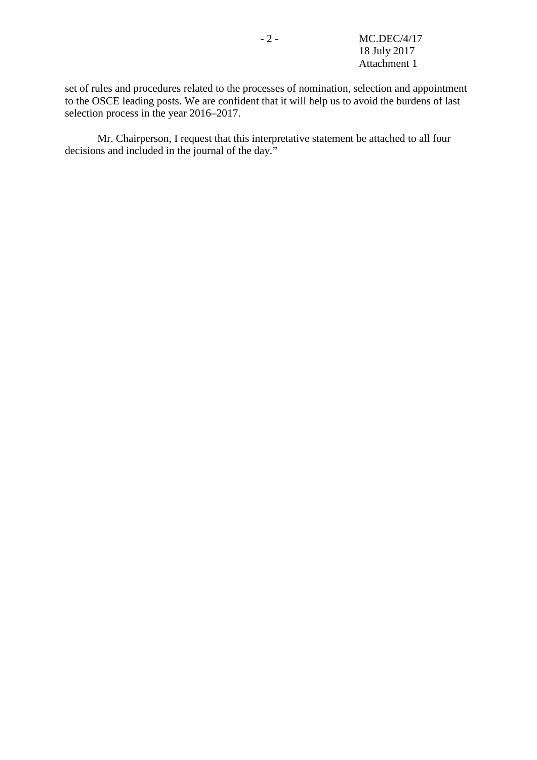set of rules and procedures related to the processes of nomination, selection and appointment to the OSCE leading posts. We are confident that it will help us to avoid the burdens of last selection process in the year 2016–2017.

Mr. Chairperson, I request that this interpretative statement be attached to all four decisions and included in the journal of the day."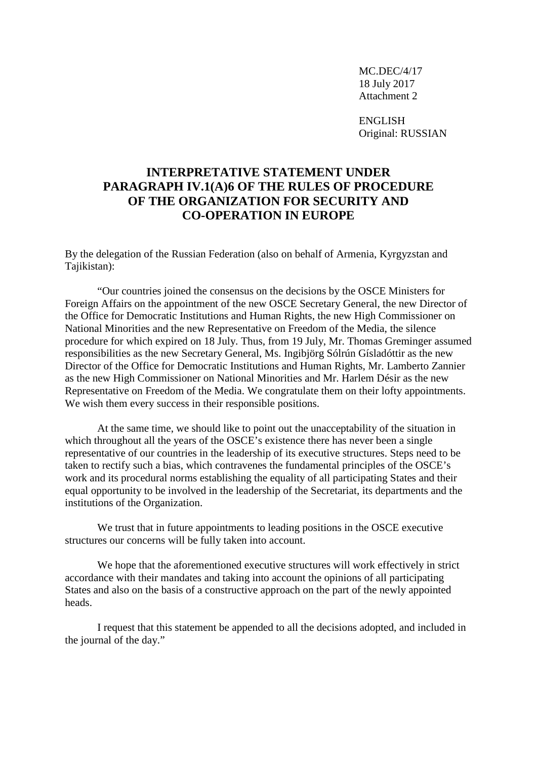ENGLISH Original: RUSSIAN

#### **INTERPRETATIVE STATEMENT UNDER PARAGRAPH IV.1(A)6 OF THE RULES OF PROCEDURE OF THE ORGANIZATION FOR SECURITY AND CO-OPERATION IN EUROPE**

By the delegation of the Russian Federation (also on behalf of Armenia, Kyrgyzstan and Tajikistan):

"Our countries joined the consensus on the decisions by the OSCE Ministers for Foreign Affairs on the appointment of the new OSCE Secretary General, the new Director of the Office for Democratic Institutions and Human Rights, the new High Commissioner on National Minorities and the new Representative on Freedom of the Media, the silence procedure for which expired on 18 July. Thus, from 19 July, Mr. Thomas Greminger assumed responsibilities as the new Secretary General, Ms. Ingibjörg Sólrún Gísladóttir as the new Director of the Office for Democratic Institutions and Human Rights, Mr. Lamberto Zannier as the new High Commissioner on National Minorities and Mr. Harlem Désir as the new Representative on Freedom of the Media. We congratulate them on their lofty appointments. We wish them every success in their responsible positions.

At the same time, we should like to point out the unacceptability of the situation in which throughout all the years of the OSCE's existence there has never been a single representative of our countries in the leadership of its executive structures. Steps need to be taken to rectify such a bias, which contravenes the fundamental principles of the OSCE's work and its procedural norms establishing the equality of all participating States and their equal opportunity to be involved in the leadership of the Secretariat, its departments and the institutions of the Organization.

We trust that in future appointments to leading positions in the OSCE executive structures our concerns will be fully taken into account.

We hope that the aforementioned executive structures will work effectively in strict accordance with their mandates and taking into account the opinions of all participating States and also on the basis of a constructive approach on the part of the newly appointed heads.

I request that this statement be appended to all the decisions adopted, and included in the journal of the day."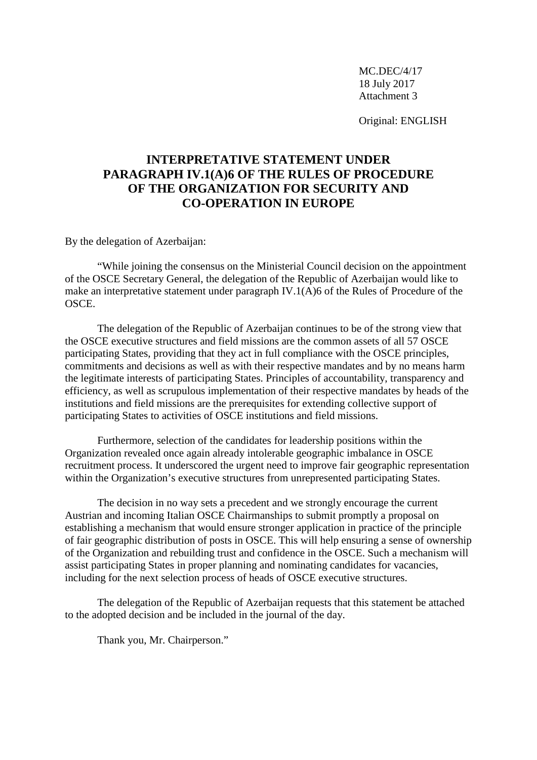Original: ENGLISH

# **INTERPRETATIVE STATEMENT UNDER PARAGRAPH IV.1(A)6 OF THE RULES OF PROCEDURE OF THE ORGANIZATION FOR SECURITY AND CO-OPERATION IN EUROPE**

By the delegation of Azerbaijan:

"While joining the consensus on the Ministerial Council decision on the appointment of the OSCE Secretary General, the delegation of the Republic of Azerbaijan would like to make an interpretative statement under paragraph IV.1(A)6 of the Rules of Procedure of the OSCE.

The delegation of the Republic of Azerbaijan continues to be of the strong view that the OSCE executive structures and field missions are the common assets of all 57 OSCE participating States, providing that they act in full compliance with the OSCE principles, commitments and decisions as well as with their respective mandates and by no means harm the legitimate interests of participating States. Principles of accountability, transparency and efficiency, as well as scrupulous implementation of their respective mandates by heads of the institutions and field missions are the prerequisites for extending collective support of participating States to activities of OSCE institutions and field missions.

Furthermore, selection of the candidates for leadership positions within the Organization revealed once again already intolerable geographic imbalance in OSCE recruitment process. It underscored the urgent need to improve fair geographic representation within the Organization's executive structures from unrepresented participating States.

The decision in no way sets a precedent and we strongly encourage the current Austrian and incoming Italian OSCE Chairmanships to submit promptly a proposal on establishing a mechanism that would ensure stronger application in practice of the principle of fair geographic distribution of posts in OSCE. This will help ensuring a sense of ownership of the Organization and rebuilding trust and confidence in the OSCE. Such a mechanism will assist participating States in proper planning and nominating candidates for vacancies, including for the next selection process of heads of OSCE executive structures.

The delegation of the Republic of Azerbaijan requests that this statement be attached to the adopted decision and be included in the journal of the day.

Thank you, Mr. Chairperson."